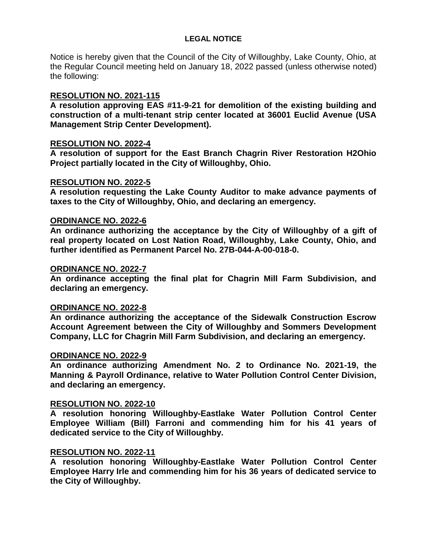# **LEGAL NOTICE**

Notice is hereby given that the Council of the City of Willoughby, Lake County, Ohio, at the Regular Council meeting held on January 18, 2022 passed (unless otherwise noted) the following:

# **RESOLUTION NO. 2021-115**

**A resolution approving EAS #11-9-21 for demolition of the existing building and construction of a multi-tenant strip center located at 36001 Euclid Avenue (USA Management Strip Center Development).**

## **RESOLUTION NO. 2022-4**

**A resolution of support for the East Branch Chagrin River Restoration H2Ohio Project partially located in the City of Willoughby, Ohio.**

## **RESOLUTION NO. 2022-5**

**A resolution requesting the Lake County Auditor to make advance payments of taxes to the City of Willoughby, Ohio, and declaring an emergency.**

# **ORDINANCE NO. 2022-6**

**An ordinance authorizing the acceptance by the City of Willoughby of a gift of real property located on Lost Nation Road, Willoughby, Lake County, Ohio, and further identified as Permanent Parcel No. 27B-044-A-00-018-0.**

## **ORDINANCE NO. 2022-7**

**An ordinance accepting the final plat for Chagrin Mill Farm Subdivision, and declaring an emergency.**

## **ORDINANCE NO. 2022-8**

**An ordinance authorizing the acceptance of the Sidewalk Construction Escrow Account Agreement between the City of Willoughby and Sommers Development Company, LLC for Chagrin Mill Farm Subdivision, and declaring an emergency.**

# **ORDINANCE NO. 2022-9**

**An ordinance authorizing Amendment No. 2 to Ordinance No. 2021-19, the Manning & Payroll Ordinance, relative to Water Pollution Control Center Division, and declaring an emergency.**

## **RESOLUTION NO. 2022-10**

**A resolution honoring Willoughby-Eastlake Water Pollution Control Center Employee William (Bill) Farroni and commending him for his 41 years of dedicated service to the City of Willoughby.**

# **RESOLUTION NO. 2022-11**

**A resolution honoring Willoughby-Eastlake Water Pollution Control Center Employee Harry Irle and commending him for his 36 years of dedicated service to the City of Willoughby.**